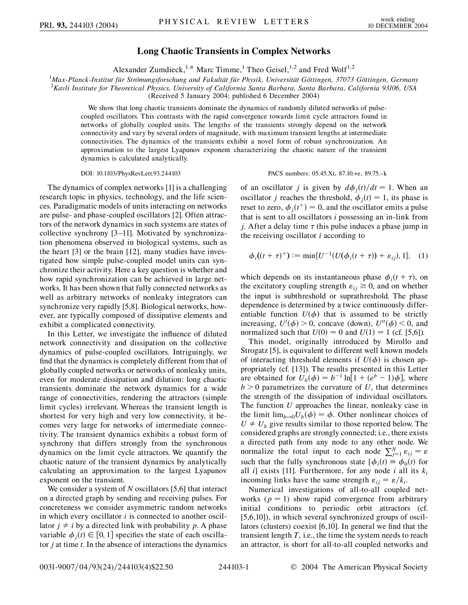## **Long Chaotic Transients in Complex Networks**

Alexander Zumdieck,<sup>1,\*</sup> Marc Timme,<sup>1</sup> Theo Geisel,<sup>1,2</sup> and Fred Wolf<sup>1,2</sup>

<sup>1</sup>Max-Planck-Institut für Strömungsforschung and Fakultät für Physik, Universität Göttingen, 37073 Göttingen, Germany<br><sup>2</sup>Kayli Institute for Theoretical Physics, University of California Santa Barbara, Santa Barbara, Cali *Kavli Institute for Theoretical Physics, University of California Santa Barbara, Santa Barbara, California 93106, USA*

(Received 5 January 2004; published 6 December 2004)

We show that long chaotic transients dominate the dynamics of randomly diluted networks of pulsecoupled oscillators. This contrasts with the rapid convergence towards limit cycle attractors found in networks of globally coupled units. The lengths of the transients strongly depend on the network connectivity and vary by several orders of magnitude, with maximum transient lengths at intermediate connectivities. The dynamics of the transients exhibit a novel form of robust synchronization. An approximation to the largest Lyapunov exponent characterizing the chaotic nature of the transient dynamics is calculated analytically.

DOI: 10.1103/PhysRevLett.93.244103 PACS numbers: 05.45.Xt, 87.10.+e, 89.75.–k

The dynamics of complex networks [1] is a challenging research topic in physics, technology, and the life sciences. Paradigmatic models of units interacting on networks are pulse- and phase-coupled oscillators [2]. Often attractors of the network dynamics in such systems are states of collective synchrony [3–11]. Motivated by synchronization phenomena observed in biological systems, such as the heart [3] or the brain [12], many studies have investigated how simple pulse-coupled model units can synchronize their activity. Here a key question is whether and how rapid synchronization can be achieved in large networks. It has been shown that fully connected networks as well as arbitrary networks of nonleaky integrators can synchronize very rapidly [5,8]. Biological networks, however, are typically composed of dissipative elements and exhibit a complicated connectivity.

In this Letter, we investigate the influence of diluted network connectivity and dissipation on the collective dynamics of pulse-coupled oscillators. Intriguingly, we find that the dynamics is completely different from that of globally coupled networks or networks of nonleaky units, even for moderate dissipation and dilution: long chaotic transients dominate the network dynamics for a wide range of connectivities, rendering the attractors (simple limit cycles) irrelevant. Whereas the transient length is shortest for very high and very low connectivity, it becomes very large for networks of intermediate connectivity. The transient dynamics exhibits a robust form of synchrony that differs strongly from the synchronous dynamics on the limit cycle attractors. We quantify the chaotic nature of the transient dynamics by analytically calculating an approximation to the largest Lyapunov exponent on the transient.

We consider a system of *N* oscillators [5,6] that interact on a directed graph by sending and receiving pulses. For concreteness we consider asymmetric random networks in which every oscillator *i* is connected to another oscillator  $j \neq i$  by a directed link with probability p. A phase variable  $\phi_j(t) \in [0, 1]$  specifies the state of each oscillator *j* at time *t*. In the absence of interactions the dynamics

of an oscillator *j* is given by  $d\phi_j(t)/dt = 1$ . When an oscillator *j* reaches the threshold,  $\phi_j(t) = 1$ , its phase is reset to zero,  $\phi_j(t^+) = 0$ , and the oscillator emits a pulse that is sent to all oscillators *i* possessing an in-link from *j*. After a delay time  $\tau$  this pulse induces a phase jump in the receiving oscillator *i* according to

$$
\phi_i((t+\tau)^+) := \min\{U^{-1}(U(\phi_i(t+\tau)) + \varepsilon_{ij}), 1\}, \quad (1)
$$

which depends on its instantaneous phase  $\phi_i(t + \tau)$ , on the excitatory coupling strength  $\varepsilon_{ij} \geq 0$ , and on whether the input is subthreshold or suprathreshold. The phase dependence is determined by a twice continuously differentiable function  $U(\phi)$  that is assumed to be strictly increasing,  $U'(\phi) > 0$ , concave (down),  $U''(\phi) < 0$ , and normalized such that  $U(0) = 0$  and  $U(1) = 1$  (cf. [5,6]).

This model, originally introduced by Mirollo and Strogatz [5], is equivalent to different well known models of interacting threshold elements if  $U(\phi)$  is chosen appropriately (cf. [13]). The results presented in this Letter are obtained for  $U_b(\phi) = b^{-1} \ln[1 + (e^b - 1)\phi]$ , where  $b > 0$  parametrizes the curvature of *U*, that determines the strength of the dissipation of individual oscillators. The function *U* approaches the linear, nonleaky case in the limit  $\lim_{b\to 0} U_b(\phi) = \phi$ . Other nonlinear choices of  $U \neq U_b$  give results similar to those reported below. The considered graphs are strongly connected; i.e., there exists a directed path from any node to any other node. We normalize the total input to each node  $\sum_{j=1}^{N} \varepsilon_{ij} = \varepsilon$ such that the fully synchronous state  $[\phi_i(t)] \equiv \phi_0(t)$  for all *i*] exists [11]. Furthermore, for any node *i* all its  $k_i$ incoming links have the same strength  $\varepsilon_{ii} = \varepsilon / k_i$ .

Numerical investigations of all-to-all coupled networks  $(p = 1)$  show rapid convergence from arbitrary initial conditions to periodic orbit attractors (cf. [5,6,10]), in which several synchronized groups of oscillators (clusters) coexist [6,10]. In general we find that the transient length *T*, i.e., the time the system needs to reach an attractor, is short for all-to-all coupled networks and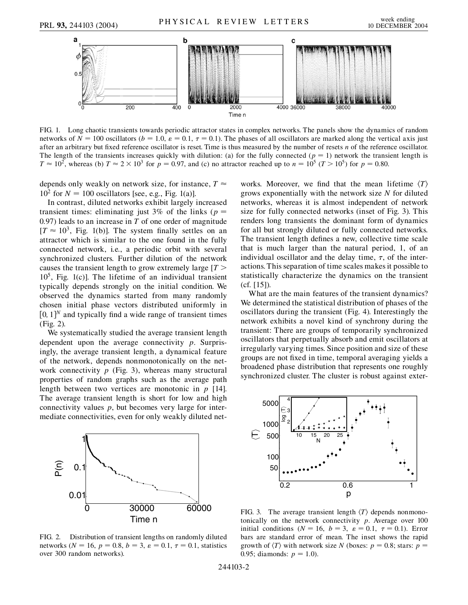

FIG. 1. Long chaotic transients towards periodic attractor states in complex networks. The panels show the dynamics of random networks of  $N = 100$  oscillators ( $b = 1.0$ ,  $\varepsilon = 0.1$ ,  $\tau = 0.1$ ). The phases of all oscillators are marked along the vertical axis just after an arbitrary but fixed reference oscillator is reset. Time is thus measured by the number of resets *n* of the reference oscillator. The length of the transients increases quickly with dilution: (a) for the fully connected ( $p = 1$ ) network the transient length is  $T \approx 10^2$ , whereas (b)  $T \approx 2 \times 10^3$  for  $p = 0.97$ , and (c) no attractor reached up to  $n = 10^5$  ( $T > 10^5$ ) for  $p = 0.80$ .

depends only weakly on network size, for instance,  $T \approx$  $10^2$  for  $N = 100$  oscillators [see, e.g., Fig. 1(a)].

In contrast, diluted networks exhibit largely increased transient times: eliminating just 3% of the links ( $p =$ 0*:*97) leads to an increase in *T* of one order of magnitude  $[T \approx 10^3$ , Fig. 1(b)]. The system finally settles on an attractor which is similar to the one found in the fully connected network, i.e., a periodic orbit with several synchronized clusters. Further dilution of the network causes the transient length to grow extremely large [*T >*  $10<sup>5</sup>$ , Fig. 1(c)]. The lifetime of an individual transient typically depends strongly on the initial condition. We observed the dynamics started from many randomly chosen initial phase vectors distributed uniformly in  $[0, 1]$ <sup>N</sup> and typically find a wide range of transient times (Fig. 2).

We systematically studied the average transient length dependent upon the average connectivity *p*. Surprisingly, the average transient length, a dynamical feature of the network, depends nonmonotonically on the network connectivity  $p$  (Fig. 3), whereas many structural properties of random graphs such as the average path length between two vertices are monotonic in *p* [14]. The average transient length is short for low and high connectivity values *p*, but becomes very large for intermediate connectivities, even for only weakly diluted net-



FIG. 2. Distribution of transient lengths on randomly diluted networks ( $N = 16$ ,  $p = 0.8$ ,  $b = 3$ ,  $\varepsilon = 0.1$ ,  $\tau = 0.1$ , statistics over 300 random networks).

works. Moreover, we find that the mean lifetime  $\langle T \rangle$ grows exponentially with the network size *N* for diluted networks, whereas it is almost independent of network size for fully connected networks (inset of Fig. 3). This renders long transients the dominant form of dynamics for all but strongly diluted or fully connected networks. The transient length defines a new, collective time scale that is much larger than the natural period, 1, of an individual oscillator and the delay time,  $\tau$ , of the interactions. This separation of time scales makes it possible to statistically characterize the dynamics on the transient (cf. [15]).

What are the main features of the transient dynamics? We determined the statistical distribution of phases of the oscillators during the transient (Fig. 4). Interestingly the network exhibits a novel kind of synchrony during the transient: There are groups of temporarily synchronized oscillators that perpetually absorb and emit oscillators at irregularly varying times. Since position and size of these groups are not fixed in time, temporal averaging yields a broadened phase distribution that represents one roughly synchronized cluster. The cluster is robust against exter-



FIG. 3. The average transient length  $\langle T \rangle$  depends nonmonotonically on the network connectivity *p*. Average over 100 initial conditions ( $N = 16$ ,  $b = 3$ ,  $\varepsilon = 0.1$ ,  $\tau = 0.1$ ). Error bars are standard error of mean. The inset shows the rapid growth of  $\langle T \rangle$  with network size *N* (boxes:  $p = 0.8$ ; stars:  $p =$ 0.95; diamonds:  $p = 1.0$ ).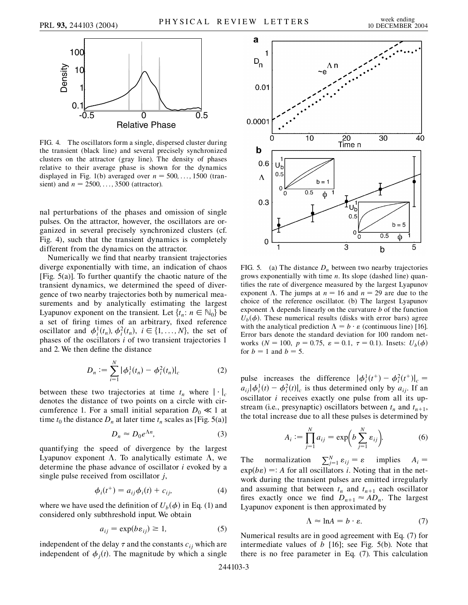

FIG. 4. The oscillators form a single, dispersed cluster during the transient (black line) and several precisely synchronized clusters on the attractor (gray line). The density of phases relative to their average phase is shown for the dynamics displayed in Fig. 1(b) averaged over  $n = 500, \ldots, 1500$  (transient) and  $n = 2500, \ldots, 3500$  (attractor).

nal perturbations of the phases and omission of single pulses. On the attractor, however, the oscillators are organized in several precisely synchronized clusters (cf. Fig. 4), such that the transient dynamics is completely different from the dynamics on the attractor.

Numerically we find that nearby transient trajectories diverge exponentially with time, an indication of chaos [Fig.  $5(a)$ ]. To further quantify the chaotic nature of the transient dynamics, we determined the speed of divergence of two nearby trajectories both by numerical measurements and by analytically estimating the largest Lyapunov exponent on the transient. Let  $\{t_n: n \in \mathbb{N}_0\}$  be a set of firing times of an arbitrary, fixed reference oscillator and  $\phi_i^1(t_n), \phi_i^2(t_n), i \in \{1, ..., N\}$ , the set of phases of the oscillators *i* of two transient trajectories 1 and 2. We then define the distance

$$
D_n := \sum_{i=1}^N |\phi_i^1(t_n) - \phi_i^2(t_n)|_c \tag{2}
$$

between these two trajectories at time  $t_n$  where  $|\cdot|_c$ denotes the distance of two points on a circle with circumference 1. For a small initial separation  $D_0 \ll 1$  at time  $t_0$  the distance  $D_n$  at later time  $t_n$  scales as [Fig. 5(a)]

$$
D_n \approx D_0 e^{\Lambda n},\tag{3}
$$

quantifying the speed of divergence by the largest Lyapunov exponent  $\Lambda$ . To analytically estimate  $\Lambda$ , we determine the phase advance of oscillator *i* evoked by a single pulse received from oscillator *j*,

$$
\phi_i(t^+) = a_{ij}\phi_i(t) + c_{ij},\tag{4}
$$

where we have used the definition of  $U_b(\phi)$  in Eq. (1) and considered only subthreshold input. We obtain

$$
a_{ij} = \exp(b \varepsilon_{ij}) \ge 1,\tag{5}
$$

independent of the delay  $\tau$  and the constants  $c_{ij}$  which are independent of  $\phi_j(t)$ . The magnitude by which a single



FIG. 5. (a) The distance  $D_n$  between two nearby trajectories grows exponentially with time *n*. Its slope (dashed line) quantifies the rate of divergence measured by the largest Lyapunov exponent  $\Lambda$ . The jumps at  $n = 16$  and  $n = 29$  are due to the choice of the reference oscillator. (b) The largest Lyapunov exponent  $\Lambda$  depends linearly on the curvature *b* of the function  $U_b(\phi)$ . These numerical results (disks with error bars) agree with the analytical prediction  $\Lambda = b \cdot \varepsilon$  (continuous line) [16]. Error bars denote the standard deviation for 100 random networks ( $N = 100$ ,  $p = 0.75$ ,  $\varepsilon = 0.1$ ,  $\tau = 0.1$ ). Insets:  $U_b(\phi)$ for  $b = 1$  and  $b = 5$ .

pulse increases the difference  $|\phi_i^1(t^+) - \phi_i^2(t^+)|_c =$  $a_{ij} |\phi_i^1(t) - \phi_i^2(t)|_c$  is thus determined only by  $a_{ij}$ . If an oscillator *i* receives exactly one pulse from all its upstream (i.e., presynaptic) oscillators between  $t_n$  and  $t_{n+1}$ , the total increase due to all these pulses is determined by

$$
A_i := \prod_{j=1}^{N} a_{ij} = \exp\biggl(b \sum_{j=1}^{N} \varepsilon_{ij}\biggr). \tag{6}
$$

The normalization  $\sum_{j=1}^{N} \varepsilon_{ij} = \varepsilon$  implies  $A_i =$  $exp(b\epsilon) = A$  for all oscillators *i*. Noting that in the network during the transient pulses are emitted irregularly and assuming that between  $t_n$  and  $t_{n+1}$  each oscillator fires exactly once we find  $D_{n+1} \approx AD_n$ . The largest Lyapunov exponent is then approximated by

$$
\Lambda \approx \ln A = b \cdot \varepsilon. \tag{7}
$$

Numerical results are in good agreement with Eq. (7) for intermediate values of *b* [16]; see Fig. 5(b). Note that there is no free parameter in Eq. (7). This calculation